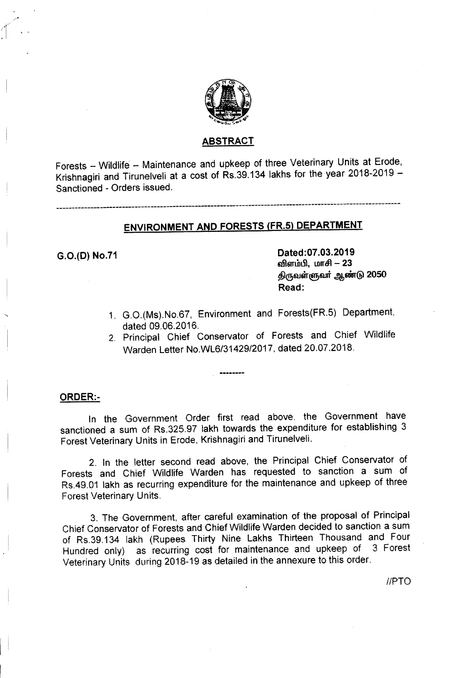

#### ABSTRACT

Forests - Wildlife - Maintenance and upkeep of three Veterinary Units at Erode, Krishnagiri and Tirunelveli at a cost of Rs.39.134 lakhs for the year 2018-2019 - Sanctioned - Orders issued.

-------------------------------------------------------------------------------------------------------------

## ENVIRONMENT AND FORESTS (FR.5) DEPARTMENT

G.O.(O) No.71 Dated:07.03.2019 விளம்பி, மாசி - 23 திருவள்ளுவர் ஆண்டு 2050 Read:

- 1. G.O.(Ms).No.67, Environment and Forests(FR.5) Department, dated 09.06.2016.
- 2. Principal Chief Conservator of Forests and Chief Wildlife Warden Letter NO.WL6/31429/2017, dated 20.07.2018.

#### ORDER:-

In the Government Order first read above. the Government have sanctioned a sum of RS.32S.97 lakh towards the expenditure for establishing 3 Forest Veterinary Units in Erode, Krishnagiri and Tirunelveli.

2. In the letter second read above, the Principal Chief Conservator of Forests and Chief Wildlife Warden has requested to sanction a sum of Rs.49.01 lakh as recurring expenditure for the maintenance and upkeep of three Forest Veterinary Units.

3. The Government, after careful examination of the proposal of Principal Chief Conservator of Forests and Chief Wildlife Warden decided to sanction a sum of RS.39.134 lakh (Rupees Thirty Nine Lakhs Thirteen Thousand and Four Hundred only) as recurring cost for maintenance and upkeep of 3 Forest Veterinary Units during 2018-19 as detailed in the annexure to this order.

*I/PTO*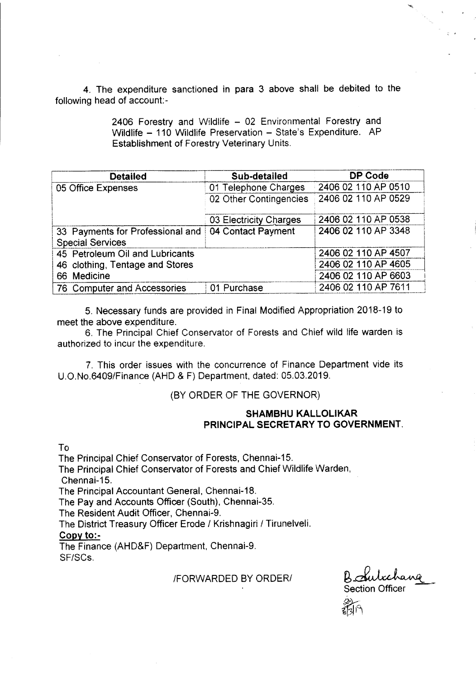4. The expenditure sanctioned in para 3 above shall be debited to the following head of account:-

> 2406 Forestry and Wildlife - 02 Environmental Forestry and Wildlife - 110 Wildlife Preservation - State's Expenditure. AP Establishment of Forestry Veterinary Units.

| <b>Detailed</b>                                             | Sub-detailed           | DP Code             |  |  |
|-------------------------------------------------------------|------------------------|---------------------|--|--|
| 05 Office Expenses                                          | 01 Telephone Charges   | 2406 02 110 AP 0510 |  |  |
|                                                             | 02 Other Contingencies | 2406 02 110 AP 0529 |  |  |
|                                                             | 03 Electricity Charges | 2406 02 110 AP 0538 |  |  |
| 33 Payments for Professional and<br><b>Special Services</b> | 04 Contact Payment     | 2406 02 110 AP 3348 |  |  |
| 45 Petroleum Oil and Lubricants                             | 2406 02 110 AP 4507    |                     |  |  |
| 46 clothing, Tentage and Stores                             | 2406 02 110 AP 4605    |                     |  |  |
| 66 Medicine                                                 | 2406 02 110 AP 6603    |                     |  |  |
| 76 Computer and Accessories                                 | 01 Purchase            | 2406 02 110 AP 7611 |  |  |

5. Necessary funds are provided in Final Modified Appropriation 2018-19 to meet the above expenditure.

6. The Principal Chief Conservator of Forests and Chief wild life warden is authorized to incur the expenditure.

7. This order issues with the concurrence of Finance Department vide its U.O.No.6409/Finance (AHD & F) Department. dated: 05.03.2019.

### (BY ORDER OF THE GOVERNOR)

### SHAMBHU KALLOLIKAR PRINCIPAL SECRETARY TO GOVERNMENT.

To

The Principal Chief Conservator of Forests, Chennai-15. The Principal Chief Conservator of Forests and Chief Wildlife Warden, Chennai-15. The Principal Accountant General. Chennai-18. The Pay and Accounts Officer (South), Chennai-35. The Resident Audit Officer, Chennai-9. The District Treasury Officer Erode *I* Krishnagiri *I* Tirunelveli. Copy to:- The Finance (AHD&F) Department. Chennai-9.

SF/SCs.

#### **IFORWARDED BY ORDER/**

Section Officer

 $\frac{2}{3}$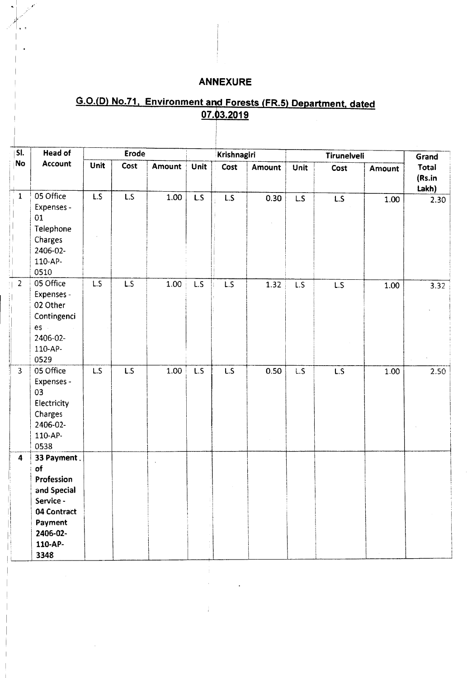# **ANNEXURE**

# G.O.(D) No.71, Environment and Forests (FR.5) Department, dated 07.03.2019

| SI.              | <b>Head of</b>                                                                                                       | Erode           |                 |        | Krishnagiri      |                 |               | Tirunelveli |      |        | Grand                    |
|------------------|----------------------------------------------------------------------------------------------------------------------|-----------------|-----------------|--------|------------------|-----------------|---------------|-------------|------|--------|--------------------------|
| No               | Account                                                                                                              | Unit            | Cost            | Amount | <b>Unit</b>      | Cost            | <b>Amount</b> | Unit        | Cost | Amount | Total<br>(Rs.in<br>Lakh) |
| $\mathbf{1}$     | 05 Office<br>Expenses -<br>01<br>Telephone<br>Charges<br>2406-02-<br>110-AP-<br>0510                                 | L.S             | L.S             | 1.00   | L.S              | $\overline{LS}$ | 0.30          | L.S         | L.S  | 1.00   | 2.30                     |
| 2 <sup>1</sup>   | 05 Office<br>Expenses -<br>02 Other<br>Contingenci<br>es -<br>2406-02-<br>110-AP-<br>0529                            | $\overline{LS}$ | $\overline{LS}$ | 1.00   | L.S              | $\overline{LS}$ | 1.32          | L.S         | L.S  | 1.00   | 3.32                     |
| $\overline{3}$   | 05 Office<br>Expenses -<br>03<br>Electricity<br>Charges<br>2406-02-<br>110-AP-<br>0538                               | L.S             | $\overline{LS}$ | 1.00   | $\overline{L.S}$ | $\overline{LS}$ | 0.50          | L.S         | L.S  | 1.00   | 2.50                     |
| $\boldsymbol{4}$ | 33 Payment.<br>of<br>Profession<br>and Special<br>Service -<br>04 Contract<br>Payment<br>2406-02-<br>110-AP-<br>3348 |                 |                 |        |                  |                 |               |             |      |        |                          |